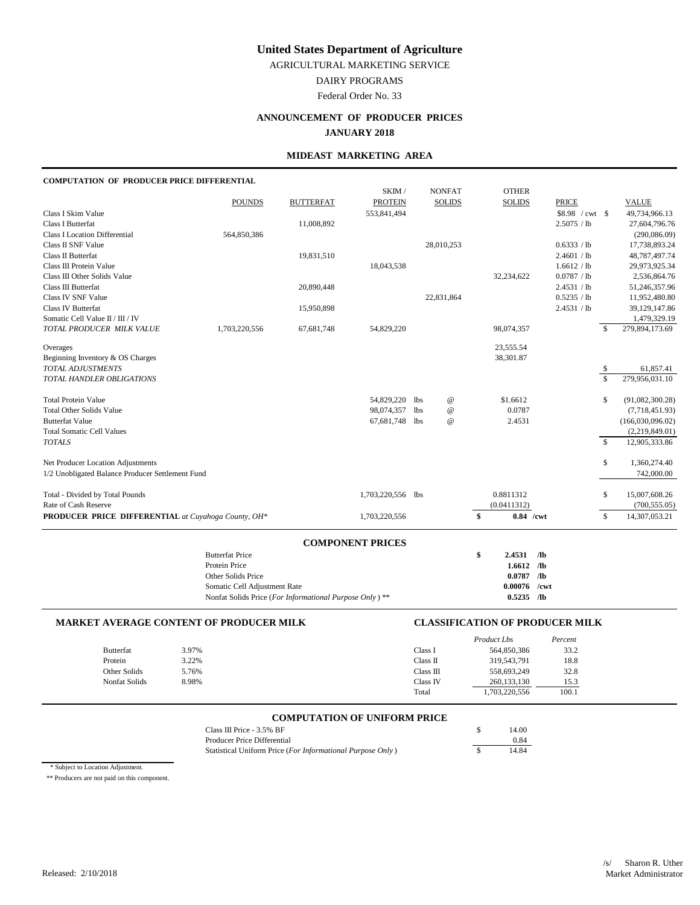AGRICULTURAL MARKETING SERVICE

DAIRY PROGRAMS

Federal Order No. 33

# **ANNOUNCEMENT OF PRODUCER PRICES**

# **JANUARY 2018**

### **MIDEAST MARKETING AREA**

# **COMPUTATION OF PRODUCER PRICE DIFFERENTIAL**

|                                                     |                                                         |                  | SKIM /                  |            | <b>NONFAT</b>             | <b>OTHER</b>  |                 |                         |                  |
|-----------------------------------------------------|---------------------------------------------------------|------------------|-------------------------|------------|---------------------------|---------------|-----------------|-------------------------|------------------|
|                                                     | <b>POUNDS</b>                                           | <b>BUTTERFAT</b> | <b>PROTEIN</b>          |            | <b>SOLIDS</b>             | <b>SOLIDS</b> | <b>PRICE</b>    |                         | <b>VALUE</b>     |
| Class I Skim Value                                  |                                                         |                  | 553,841,494             |            |                           |               |                 |                         | 49,734,966.13    |
| Class I Butterfat                                   |                                                         | 11,008,892       |                         |            |                           |               | 2.5075 / lb     |                         | 27,604,796.76    |
| <b>Class I Location Differential</b>                | 564,850,386                                             |                  |                         |            |                           |               |                 |                         | (290,086.09)     |
| Class II SNF Value                                  |                                                         |                  |                         |            | 28,010,253                |               | 0.6333 / lb     |                         | 17,738,893.24    |
| Class II Butterfat                                  |                                                         | 19,831,510       |                         |            |                           |               | 2.4601 / lb     |                         | 48,787,497.74    |
| Class III Protein Value                             |                                                         |                  | 18,043,538              |            |                           |               | 1.6612 / lb     |                         | 29,973,925.34    |
| Class III Other Solids Value                        |                                                         |                  |                         |            |                           | 32,234,622    | 0.0787 / lb     |                         | 2,536,864.76     |
| Class III Butterfat                                 |                                                         | 20,890,448       |                         |            |                           |               | 2.4531 / lb     |                         | 51,246,357.96    |
| Class IV SNF Value                                  |                                                         |                  |                         |            | 22,831,864                |               | 0.5235 / lb     |                         | 11,952,480.80    |
| <b>Class IV Butterfat</b>                           |                                                         | 15,950,898       |                         |            |                           |               | 2.4531 / lb     |                         | 39,129,147.86    |
| Somatic Cell Value II / III / IV                    |                                                         |                  |                         |            |                           |               |                 |                         | 1,479,329.19     |
| TOTAL PRODUCER MILK VALUE                           | 1,703,220,556                                           | 67,681,748       | 54,829,220              |            |                           | 98,074,357    |                 | \$.                     | 279,894,173.69   |
| Overages                                            |                                                         |                  |                         |            |                           | 23,555.54     |                 |                         |                  |
| Beginning Inventory & OS Charges                    |                                                         |                  |                         |            |                           | 38,301.87     |                 |                         |                  |
| <b>TOTAL ADJUSTMENTS</b>                            |                                                         |                  |                         |            |                           |               |                 | \$                      | 61,857.41        |
| TOTAL HANDLER OBLIGATIONS                           |                                                         |                  |                         |            |                           |               |                 | $\overline{\mathbf{s}}$ | 279,956,031.10   |
| <b>Total Protein Value</b>                          |                                                         |                  | 54,829,220              | lbs        | $^\text{\textregistered}$ | \$1.6612      |                 | \$                      | (91,082,300.28)  |
| <b>Total Other Solids Value</b>                     |                                                         |                  | 98,074,357              | <b>lbs</b> | $^\text{\textregistered}$ | 0.0787        |                 |                         | (7,718,451.93)   |
| <b>Butterfat Value</b>                              |                                                         |                  | 67,681,748              | lbs        | $^\text{\textregistered}$ | 2.4531        |                 |                         | (166,030,096.02) |
| <b>Total Somatic Cell Values</b>                    |                                                         |                  |                         |            |                           |               |                 |                         | (2,219,849.01)   |
| <b>TOTALS</b>                                       |                                                         |                  |                         |            |                           |               |                 | $\mathbf{\hat{S}}$      | 12,905,333.86    |
| Net Producer Location Adjustments                   |                                                         |                  |                         |            |                           |               |                 | \$                      | 1,360,274.40     |
| 1/2 Unobligated Balance Producer Settlement Fund    |                                                         |                  |                         |            |                           |               |                 |                         | 742,000.00       |
| Total - Divided by Total Pounds                     |                                                         |                  | 1,703,220,556 lbs       |            |                           | 0.8811312     |                 | \$                      | 15,007,608.26    |
| Rate of Cash Reserve                                |                                                         |                  |                         |            |                           | (0.0411312)   |                 |                         | (700, 555.05)    |
| PRODUCER PRICE DIFFERENTIAL at Cuyahoga County, OH* |                                                         |                  | 1,703,220,556           |            |                           | \$            | $0.84$ /cwt     | \$                      | 14,307,053.21    |
|                                                     |                                                         |                  |                         |            |                           |               |                 |                         |                  |
|                                                     |                                                         |                  | <b>COMPONENT PRICES</b> |            |                           |               |                 |                         |                  |
|                                                     | <b>Butterfat Price</b>                                  |                  |                         |            |                           | \$<br>2.4531  | /1 <sub>b</sub> |                         |                  |
|                                                     | Protein Price                                           |                  |                         |            |                           | $1.6612$ /lb  |                 |                         |                  |
|                                                     | Other Solids Price                                      |                  |                         |            |                           | 0.0787        | $\sqrt{a}$      |                         |                  |
|                                                     | Somatic Cell Adjustment Rate                            |                  |                         |            |                           | 0.00076       | /cwt            |                         |                  |
|                                                     | Nonfat Solids Price (For Informational Purpose Only) ** |                  |                         |            |                           | $0.5235$ /lb  |                 |                         |                  |

#### **MARKET AVERAGE CONTENT OF PRODUCER MILK CLASSIFICATION OF PRODUCER MILK**

|                  |       |           | Product Lbs   | Percent |
|------------------|-------|-----------|---------------|---------|
| <b>Butterfat</b> | 3.97% | Class I   | 564,850,386   | 33.2    |
| Protein          | 3.22% | Class II  | 319,543,791   | 18.8    |
| Other Solids     | 5.76% | Class III | 558,693,249   | 32.8    |
| Nonfat Solids    | 8.98% | Class IV  | 260.133.130   | 15.3    |
|                  |       | Total     | 1,703,220,556 | 100.1   |

# **COMPUTATION OF UNIFORM PRICE**

| Class III Price - 3.5% BF                                  | 14.00 |
|------------------------------------------------------------|-------|
| Producer Price Differential                                | 0.84  |
| Statistical Uniform Price (For Informational Purpose Only) | 14.84 |

\* Subject to Location Adjustment.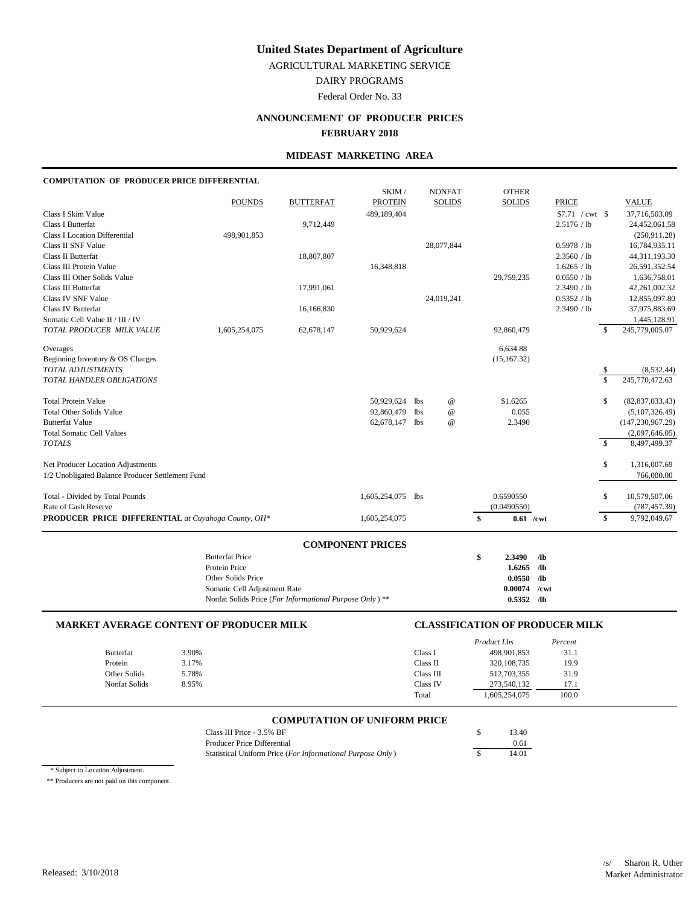AGRICULTURAL MARKETING SERVICE

DAIRY PROGRAMS

Federal Order No. 33

# **ANNOUNCEMENT OF PRODUCER PRICES**

#### **FEBRUARY 2018**

#### **MIDEAST MARKETING AREA**

#### **COMPUTATION OF PRODUCER PRICE DIFFERENTIAL**

|                                                     |                                                         |                  | SKIM/                   |            | <b>NONFAT</b>   |               | <b>OTHER</b>  |              |                    |                    |                    |
|-----------------------------------------------------|---------------------------------------------------------|------------------|-------------------------|------------|-----------------|---------------|---------------|--------------|--------------------|--------------------|--------------------|
|                                                     | <b>POUNDS</b>                                           | <b>BUTTERFAT</b> | <b>PROTEIN</b>          |            | <b>SOLIDS</b>   |               | <b>SOLIDS</b> | <b>PRICE</b> |                    |                    | <b>VALUE</b>       |
| Class I Skim Value                                  |                                                         |                  | 489,189,404             |            |                 |               |               |              | $$7.71$ / cwt \ \$ |                    | 37,716,503.09      |
| Class I Butterfat                                   |                                                         | 9,712,449        |                         |            |                 |               |               |              | 2.5176 / lb        |                    | 24,452,061.58      |
| <b>Class I Location Differential</b>                | 498,901,853                                             |                  |                         |            |                 |               |               |              |                    |                    | (250, 911.28)      |
| Class II SNF Value                                  |                                                         |                  |                         |            | 28,077,844      |               |               |              | 0.5978 / lb        |                    | 16,784,935.11      |
| Class II Butterfat                                  |                                                         | 18,807,807       |                         |            |                 |               |               |              | 2.3560 / lb        |                    | 44,311,193.30      |
| Class III Protein Value                             |                                                         |                  | 16,348,818              |            |                 |               |               |              | 1.6265 / lb        |                    | 26,591,352.54      |
| Class III Other Solids Value                        |                                                         |                  |                         |            |                 |               | 29,759,235    |              | 0.0550 / lb        |                    | 1.636.758.01       |
| Class III Butterfat                                 |                                                         | 17,991,061       |                         |            |                 |               |               |              | 2.3490 / lb        |                    | 42,261,002.32      |
| Class IV SNF Value                                  |                                                         |                  |                         |            | 24,019,241      |               |               |              | 0.5352 / lb        |                    | 12,855,097.80      |
| <b>Class IV Butterfat</b>                           |                                                         | 16,166,830       |                         |            |                 |               |               |              | 2.3490 / lb        |                    | 37,975,883.69      |
| Somatic Cell Value II / III / IV                    |                                                         |                  |                         |            |                 |               |               |              |                    |                    | 1,445,128.91       |
| TOTAL PRODUCER MILK VALUE                           | 1,605,254,075                                           | 62,678,147       | 50,929,624              |            |                 |               | 92,860,479    |              |                    | \$                 | 245,779,005.07     |
| Overages                                            |                                                         |                  |                         |            |                 |               | 6.634.88      |              |                    |                    |                    |
| Beginning Inventory & OS Charges                    |                                                         |                  |                         |            |                 |               | (15, 167.32)  |              |                    |                    |                    |
| <b>TOTAL ADJUSTMENTS</b>                            |                                                         |                  |                         |            |                 |               |               |              |                    | $\frac{\$}{\$}$    | (8,532.44)         |
| TOTAL HANDLER OBLIGATIONS                           |                                                         |                  |                         |            |                 |               |               |              |                    |                    | 245,770,472.63     |
| <b>Total Protein Value</b>                          |                                                         |                  | 50,929,624              | 1bs        | @               |               | \$1,6265      |              |                    | \$                 | (82, 837, 033.43)  |
| <b>Total Other Solids Value</b>                     |                                                         |                  | 92,860,479              | <b>lbs</b> | $^{\copyright}$ |               | 0.055         |              |                    |                    | (5,107,326.49)     |
| <b>Butterfat Value</b>                              |                                                         |                  | 62,678,147 lbs          |            | $^{\omega}{}$   |               | 2.3490        |              |                    |                    | (147, 230, 967.29) |
| <b>Total Somatic Cell Values</b>                    |                                                         |                  |                         |            |                 |               |               |              |                    |                    | (2,097,646.05)     |
| <b>TOTALS</b>                                       |                                                         |                  |                         |            |                 |               |               |              |                    | $\mathbf{\hat{s}}$ | 8,497,499.37       |
| Net Producer Location Adjustments                   |                                                         |                  |                         |            |                 |               |               |              |                    | \$                 | 1,316,007.69       |
| 1/2 Unobligated Balance Producer Settlement Fund    |                                                         |                  |                         |            |                 |               |               |              |                    |                    | 766,000.00         |
| Total - Divided by Total Pounds                     |                                                         |                  | 1,605,254,075 lbs       |            |                 |               | 0.6590550     |              |                    | \$                 | 10,579,507.06      |
| Rate of Cash Reserve                                |                                                         |                  |                         |            |                 |               | (0.0490550)   |              |                    |                    | (787, 457.39)      |
| PRODUCER PRICE DIFFERENTIAL at Cuyahoga County, OH* |                                                         |                  | 1,605,254,075           |            |                 | <sup>\$</sup> | $0.61$ /cwt   |              |                    | \$                 | 9,792,049.67       |
|                                                     |                                                         |                  |                         |            |                 |               |               |              |                    |                    |                    |
|                                                     | <b>Butterfat Price</b>                                  |                  | <b>COMPONENT PRICES</b> |            |                 | \$            | 2.3490        | /lb          |                    |                    |                    |
|                                                     | Protein Price                                           |                  |                         |            |                 |               | 1.6265        | /lb          |                    |                    |                    |
|                                                     | Other Solids Price                                      |                  |                         |            |                 |               | 0.0550        | $\sqrt{a}$   |                    |                    |                    |
|                                                     | Somatic Cell Adjustment Rate                            |                  |                         |            |                 |               | 0.00074       | $/$ cwt      |                    |                    |                    |
|                                                     | Nonfat Solids Price (For Informational Purpose Only) ** |                  |                         |            |                 |               | $0.5352$ /lb  |              |                    |                    |                    |
|                                                     |                                                         |                  |                         |            |                 |               |               |              |                    |                    |                    |

#### **MARKET AVERAGE CONTENT OF PRODUCER MILK CLASSIFICATION OF PRODUCER MILK**

|               |       |              | Product Lbs   | Percent |
|---------------|-------|--------------|---------------|---------|
| Butterfat     | 3.90% | Class 1      | 498,901,853   | 31.1    |
| Protein       | 3.17% | Class II     | 320, 108, 735 | 19.9    |
| Other Solids  | 5.78% | $Class \nII$ | 512,703,355   | 31.9    |
| Nonfat Solids | 8.95% | Class IV     | 273,540,132   | 17.1    |
|               |       | Total        | 1,605,254,075 | 100.0   |

# **COMPUTATION OF UNIFORM PRICE**

| Class III Price $-3.5\%$ BF                                | 13.40 |
|------------------------------------------------------------|-------|
| Producer Price Differential                                | 0.61  |
| Statistical Uniform Price (For Informational Purpose Only) | 14.01 |

\* Subject to Location Adjustment.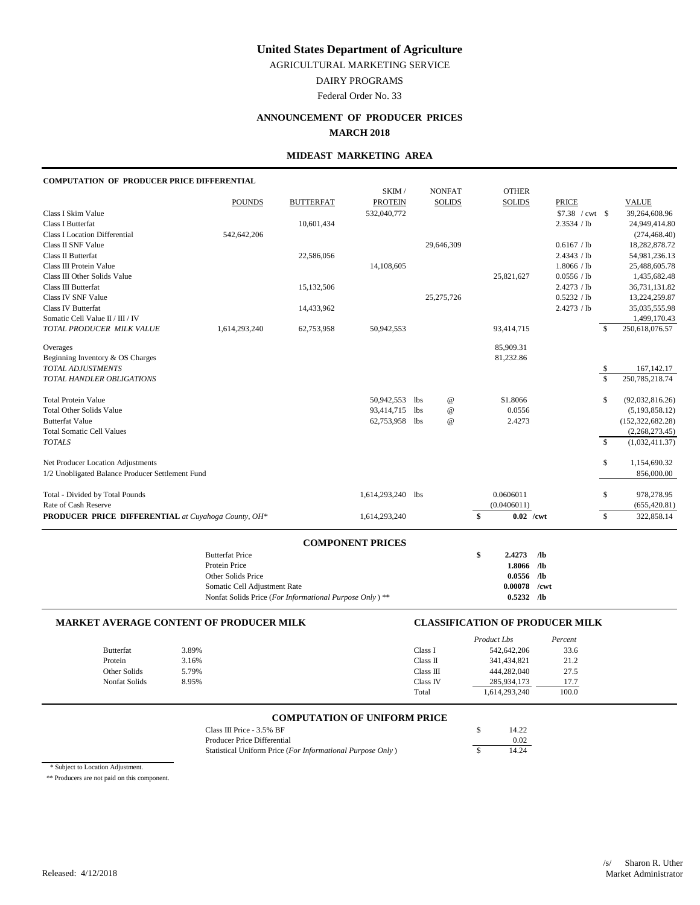AGRICULTURAL MARKETING SERVICE

DAIRY PROGRAMS

Federal Order No. 33

# **ANNOUNCEMENT OF PRODUCER PRICES**

#### **MARCH 2018**

### **MIDEAST MARKETING AREA**

# **COMPUTATION OF PRODUCER PRICE DIFFERENTIAL**

|                                                     |                                                         |                  | SKIM /                  |     | <b>NONFAT</b>             | <b>OTHER</b>               |                  |                         |                    |
|-----------------------------------------------------|---------------------------------------------------------|------------------|-------------------------|-----|---------------------------|----------------------------|------------------|-------------------------|--------------------|
|                                                     | <b>POUNDS</b>                                           | <b>BUTTERFAT</b> | <b>PROTEIN</b>          |     | <b>SOLIDS</b>             | <b>SOLIDS</b>              | <b>PRICE</b>     |                         | <b>VALUE</b>       |
| Class I Skim Value                                  |                                                         |                  | 532,040,772             |     |                           |                            | $$7.38$ / cwt \$ |                         | 39,264,608.96      |
| Class I Butterfat                                   |                                                         | 10,601,434       |                         |     |                           |                            | 2.3534 / lb      |                         | 24,949,414.80      |
| <b>Class I Location Differential</b>                | 542,642,206                                             |                  |                         |     |                           |                            |                  |                         | (274, 468.40)      |
| Class II SNF Value                                  |                                                         |                  |                         |     | 29,646,309                |                            | 0.6167 / lb      |                         | 18,282,878.72      |
| Class II Butterfat                                  |                                                         | 22,586,056       |                         |     |                           |                            | 2.4343 / lb      |                         | 54,981,236.13      |
| Class III Protein Value                             |                                                         |                  | 14,108,605              |     |                           |                            | 1.8066 / lb      |                         | 25,488,605.78      |
| Class III Other Solids Value                        |                                                         |                  |                         |     |                           | 25,821,627                 | 0.0556 / lb      |                         | 1,435,682.48       |
| Class III Butterfat                                 |                                                         | 15,132,506       |                         |     |                           |                            | 2.4273 / lb      |                         | 36,731,131.82      |
| Class IV SNF Value                                  |                                                         |                  |                         |     | 25, 275, 726              |                            | 0.5232 / lb      |                         | 13,224,259.87      |
| <b>Class IV Butterfat</b>                           |                                                         | 14,433,962       |                         |     |                           |                            | 2.4273 / lb      |                         | 35,035,555.98      |
| Somatic Cell Value II / III / IV                    |                                                         |                  |                         |     |                           |                            |                  |                         | 1,499,170.43       |
| TOTAL PRODUCER MILK VALUE                           | 1,614,293,240                                           | 62,753,958       | 50,942,553              |     |                           | 93,414,715                 |                  | $\mathcal{S}$           | 250,618,076.57     |
| Overages                                            |                                                         |                  |                         |     |                           | 85,909.31                  |                  |                         |                    |
| Beginning Inventory & OS Charges                    |                                                         |                  |                         |     |                           | 81,232.86                  |                  |                         |                    |
| <b>TOTAL ADJUSTMENTS</b>                            |                                                         |                  |                         |     |                           |                            |                  | \$                      | 167, 142. 17       |
| TOTAL HANDLER OBLIGATIONS                           |                                                         |                  |                         |     |                           |                            |                  | $\overline{\mathbf{s}}$ | 250, 785, 218.74   |
| <b>Total Protein Value</b>                          |                                                         |                  | 50,942,553              | lbs | $^\text{\textregistered}$ | \$1.8066                   |                  | \$                      | (92,032,816.26)    |
| <b>Total Other Solids Value</b>                     |                                                         |                  | 93,414,715 lbs          |     | $^\text{\textregistered}$ | 0.0556                     |                  |                         | (5, 193, 858.12)   |
| <b>Butterfat Value</b>                              |                                                         |                  | 62,753,958 lbs          |     | $^\text{\textregistered}$ | 2.4273                     |                  |                         | (152, 322, 682.28) |
| <b>Total Somatic Cell Values</b>                    |                                                         |                  |                         |     |                           |                            |                  |                         | (2,268,273.45)     |
| <b>TOTALS</b>                                       |                                                         |                  |                         |     |                           |                            |                  | $\mathbf{\hat{S}}$      | (1,032,411.37)     |
| Net Producer Location Adjustments                   |                                                         |                  |                         |     |                           |                            |                  | \$                      | 1,154,690.32       |
| 1/2 Unobligated Balance Producer Settlement Fund    |                                                         |                  |                         |     |                           |                            |                  |                         | 856,000.00         |
| Total - Divided by Total Pounds                     |                                                         |                  | 1,614,293,240 lbs       |     |                           | 0.0606011                  |                  | \$                      | 978,278.95         |
| Rate of Cash Reserve                                |                                                         |                  |                         |     |                           | (0.0406011)                |                  |                         | (655, 420.81)      |
| PRODUCER PRICE DIFFERENTIAL at Cuyahoga County, OH* |                                                         |                  | 1,614,293,240           |     |                           | \$<br>$0.02$ /cwt          |                  | \$                      | 322,858.14         |
|                                                     |                                                         |                  |                         |     |                           |                            |                  |                         |                    |
|                                                     | <b>Butterfat Price</b>                                  |                  | <b>COMPONENT PRICES</b> |     |                           |                            |                  |                         |                    |
|                                                     | Protein Price                                           |                  |                         |     |                           | \$<br>2.4273<br>1.8066 /lb | /1 <sub>b</sub>  |                         |                    |
|                                                     | Other Solids Price                                      |                  |                         |     |                           | $0.0556$ /lb               |                  |                         |                    |
|                                                     | Somatic Cell Adjustment Rate                            |                  |                         |     |                           | 0.00078                    | /cwt             |                         |                    |
|                                                     | Nonfat Solids Price (For Informational Purpose Only) ** |                  |                         |     |                           | $0.5232$ /lb               |                  |                         |                    |
|                                                     |                                                         |                  |                         |     |                           |                            |                  |                         |                    |

#### **MARKET AVERAGE CONTENT OF PRODUCER MILK CLASSIFICATION OF PRODUCER MILK**

|                  |       |           | Product Lbs   | Percent |
|------------------|-------|-----------|---------------|---------|
| <b>Butterfat</b> | 3.89% | Class I   | 542,642,206   | 33.6    |
| Protein          | 3.16% | Class II  | 341,434,821   | 21.2    |
| Other Solids     | 5.79% | Class III | 444,282,040   | 27.5    |
| Nonfat Solids    | 8.95% | Class IV  | 285.934.173   | 17.7    |
|                  |       | Total     | 1,614,293,240 | 100.0   |

# **COMPUTATION OF UNIFORM PRICE**

| Class III Price - 3.5% BF                                  | 14.22 |
|------------------------------------------------------------|-------|
| Producer Price Differential                                | 0.02  |
| Statistical Uniform Price (For Informational Purpose Only) | 14.24 |

\* Subject to Location Adjustment.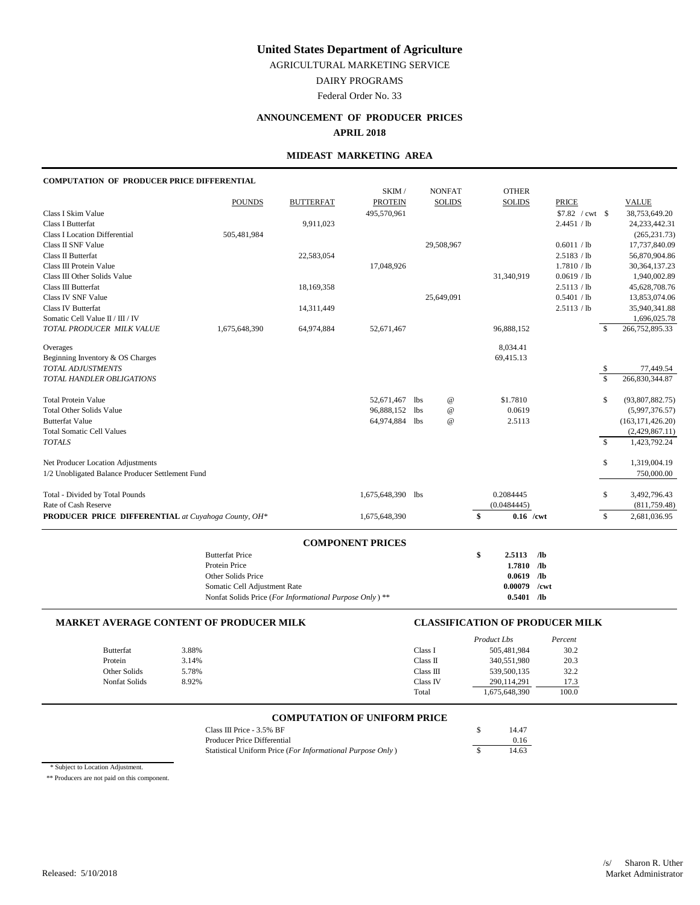AGRICULTURAL MARKETING SERVICE

DAIRY PROGRAMS

Federal Order No. 33

# **ANNOUNCEMENT OF PRODUCER PRICES**

**APRIL 2018**

### **MIDEAST MARKETING AREA**

# **COMPUTATION OF PRODUCER PRICE DIFFERENTIAL**

|                                                     |                                                        |                  | SKIM /                  |            | <b>NONFAT</b>             | <b>OTHER</b>      |                  |                |                    |
|-----------------------------------------------------|--------------------------------------------------------|------------------|-------------------------|------------|---------------------------|-------------------|------------------|----------------|--------------------|
|                                                     | <b>POUNDS</b>                                          | <b>BUTTERFAT</b> | <b>PROTEIN</b>          |            | <b>SOLIDS</b>             | <b>SOLIDS</b>     | <b>PRICE</b>     |                | <b>VALUE</b>       |
| Class I Skim Value                                  |                                                        |                  | 495,570,961             |            |                           |                   | $$7.82$ / cwt \$ |                | 38,753,649.20      |
| Class I Butterfat                                   |                                                        | 9,911,023        |                         |            |                           |                   | 2.4451 / lb      |                | 24, 233, 442. 31   |
| <b>Class I Location Differential</b>                | 505,481,984                                            |                  |                         |            |                           |                   |                  |                | (265, 231.73)      |
| <b>Class II SNF Value</b>                           |                                                        |                  |                         |            | 29,508,967                |                   | 0.6011 / lb      |                | 17,737,840.09      |
| Class II Butterfat                                  |                                                        | 22,583,054       |                         |            |                           |                   | 2.5183 / lb      |                | 56,870,904.86      |
| Class III Protein Value                             |                                                        |                  | 17,048,926              |            |                           |                   | 1.7810 / lb      |                | 30, 364, 137. 23   |
| Class III Other Solids Value                        |                                                        |                  |                         |            |                           | 31,340,919        | 0.0619 / lb      |                | 1,940,002.89       |
| Class III Butterfat                                 |                                                        | 18,169,358       |                         |            |                           |                   | 2.5113 / lb      |                | 45,628,708.76      |
| Class IV SNF Value                                  |                                                        |                  |                         |            | 25,649,091                |                   | 0.5401 / lb      |                | 13,853,074.06      |
| <b>Class IV Butterfat</b>                           |                                                        | 14,311,449       |                         |            |                           |                   | 2.5113 / lb      |                | 35,940,341.88      |
| Somatic Cell Value II / III / IV                    |                                                        |                  |                         |            |                           |                   |                  |                | 1,696,025.78       |
| TOTAL PRODUCER MILK VALUE                           | 1,675,648,390                                          | 64,974,884       | 52,671,467              |            |                           | 96,888,152        |                  | $\mathcal{S}$  | 266,752,895.33     |
| Overages                                            |                                                        |                  |                         |            |                           | 8,034.41          |                  |                |                    |
| Beginning Inventory & OS Charges                    |                                                        |                  |                         |            |                           | 69,415.13         |                  |                |                    |
| TOTAL ADJUSTMENTS                                   |                                                        |                  |                         |            |                           |                   |                  | -S             | 77,449.54          |
| TOTAL HANDLER OBLIGATIONS                           |                                                        |                  |                         |            |                           |                   |                  | \$             | 266,830,344.87     |
| <b>Total Protein Value</b>                          |                                                        |                  | 52,671,467              | lbs        | $^\text{\textregistered}$ | \$1.7810          |                  | \$             | (93,807,882.75)    |
| <b>Total Other Solids Value</b>                     |                                                        |                  | 96,888,152              | <b>lbs</b> | $^\text{\textregistered}$ | 0.0619            |                  |                | (5,997,376.57)     |
| <b>Butterfat Value</b>                              |                                                        |                  | 64,974,884 lbs          |            | $\omega$                  | 2.5113            |                  |                | (163, 171, 426.20) |
| <b>Total Somatic Cell Values</b>                    |                                                        |                  |                         |            |                           |                   |                  |                | (2,429,867.11)     |
| <b>TOTALS</b>                                       |                                                        |                  |                         |            |                           |                   |                  | $\overline{s}$ | 1,423,792.24       |
| Net Producer Location Adjustments                   |                                                        |                  |                         |            |                           |                   |                  | \$             | 1,319,004.19       |
| 1/2 Unobligated Balance Producer Settlement Fund    |                                                        |                  |                         |            |                           |                   |                  |                | 750,000.00         |
| Total - Divided by Total Pounds                     |                                                        |                  | 1,675,648,390 lbs       |            |                           | 0.2084445         |                  | \$             | 3,492,796.43       |
| Rate of Cash Reserve                                |                                                        |                  |                         |            |                           | (0.0484445)       |                  |                | (811, 759.48)      |
| PRODUCER PRICE DIFFERENTIAL at Cuyahoga County, OH* |                                                        |                  | 1,675,648,390           |            |                           | \$<br>$0.16$ /cwt |                  | \$             | 2,681,036.95       |
|                                                     |                                                        |                  |                         |            |                           |                   |                  |                |                    |
|                                                     | <b>Butterfat Price</b>                                 |                  | <b>COMPONENT PRICES</b> |            |                           | \$<br>2.5113      | $\sqrt{a}$       |                |                    |
|                                                     | Protein Price                                          |                  |                         |            |                           | 1.7810 /lb        |                  |                |                    |
|                                                     | Other Solids Price                                     |                  |                         |            |                           | 0.0619            | $\sqrt{a}$       |                |                    |
|                                                     | Somatic Cell Adjustment Rate                           |                  |                         |            |                           | 0.00079           | /cwt             |                |                    |
|                                                     | Nonfat Solids Price (For Informational Purpose Only)** |                  |                         |            |                           | $0.5401$ /lb      |                  |                |                    |
|                                                     |                                                        |                  |                         |            |                           |                   |                  |                |                    |

### **MARKET AVERAGE CONTENT OF PRODUCER MILK CLASSIFICATION OF PRODUCER MILK**

|                  |       |           | Product Lbs   | Percent |
|------------------|-------|-----------|---------------|---------|
| <b>Butterfat</b> | 3.88% | Class I   | 505,481,984   | 30.2    |
| Protein          | 3.14% | Class II  | 340,551,980   | 20.3    |
| Other Solids     | 5.78% | Class III | 539,500,135   | 32.2    |
| Nonfat Solids    | 8.92% | Class IV  | 290.114.291   | 17.3    |
|                  |       | Total     | 1,675,648,390 | 100.0   |

# **COMPUTATION OF UNIFORM PRICE**

| Class III Price $-3.5\%$ BF                                | 14.47 |
|------------------------------------------------------------|-------|
| Producer Price Differential                                | 0.16  |
| Statistical Uniform Price (For Informational Purpose Only) | 14.63 |

\* Subject to Location Adjustment.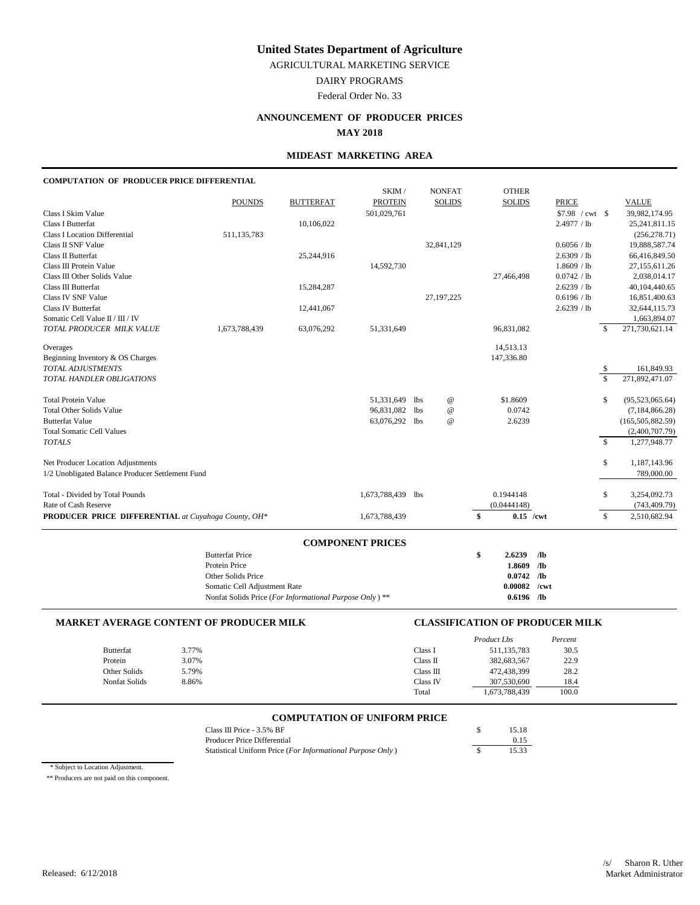AGRICULTURAL MARKETING SERVICE

DAIRY PROGRAMS

Federal Order No. 33

# **ANNOUNCEMENT OF PRODUCER PRICES**

**MAY 2018**

### **MIDEAST MARKETING AREA**

#### **COMPUTATION OF PRODUCER PRICE DIFFERENTIAL**

|                                                     |                                                         |                  | SKIM /                  |     | <b>NONFAT</b>   | <b>OTHER</b>      |                 |                  |               |                    |
|-----------------------------------------------------|---------------------------------------------------------|------------------|-------------------------|-----|-----------------|-------------------|-----------------|------------------|---------------|--------------------|
|                                                     | <b>POUNDS</b>                                           | <b>BUTTERFAT</b> | <b>PROTEIN</b>          |     | <b>SOLIDS</b>   | <b>SOLIDS</b>     |                 | <b>PRICE</b>     |               | <b>VALUE</b>       |
| Class I Skim Value                                  |                                                         |                  | 501,029,761             |     |                 |                   |                 | $$7.98$ / cwt \$ |               | 39,982,174.95      |
| Class I Butterfat                                   |                                                         | 10,106,022       |                         |     |                 |                   |                 | 2.4977 / lb      |               | 25, 241, 811.15    |
| <b>Class I Location Differential</b>                | 511,135,783                                             |                  |                         |     |                 |                   |                 |                  |               | (256, 278.71)      |
| Class II SNF Value                                  |                                                         |                  |                         |     | 32,841,129      |                   |                 | 0.6056 / lb      |               | 19,888,587.74      |
| Class II Butterfat                                  |                                                         | 25,244,916       |                         |     |                 |                   |                 | 2.6309 / lb      |               | 66,416,849.50      |
| Class III Protein Value                             |                                                         |                  | 14,592,730              |     |                 |                   |                 | 1.8609 / lb      |               | 27,155,611.26      |
| Class III Other Solids Value                        |                                                         |                  |                         |     |                 | 27,466,498        |                 | 0.0742 / lb      |               | 2,038,014.17       |
| Class III Butterfat                                 |                                                         | 15,284,287       |                         |     |                 |                   |                 | 2.6239 / lb      |               | 40,104,440.65      |
| Class IV SNF Value                                  |                                                         |                  |                         |     | 27, 197, 225    |                   |                 | 0.6196 / lb      |               | 16,851,400.63      |
| Class IV Butterfat                                  |                                                         | 12,441,067       |                         |     |                 |                   |                 | 2.6239 / lb      |               | 32,644,115.73      |
| Somatic Cell Value II / III / IV                    |                                                         |                  |                         |     |                 |                   |                 |                  |               | 1,663,894.07       |
| TOTAL PRODUCER MILK VALUE                           | 1,673,788,439                                           | 63,076,292       | 51,331,649              |     |                 | 96,831,082        |                 |                  | <sup>\$</sup> | 271,730,621.14     |
| Overages                                            |                                                         |                  |                         |     |                 | 14,513.13         |                 |                  |               |                    |
| Beginning Inventory & OS Charges                    |                                                         |                  |                         |     |                 | 147,336.80        |                 |                  |               |                    |
| TOTAL ADJUSTMENTS                                   |                                                         |                  |                         |     |                 |                   |                 |                  | \$            | 161,849.93         |
| TOTAL HANDLER OBLIGATIONS                           |                                                         |                  |                         |     |                 |                   |                 |                  | \$            | 271,892,471.07     |
| <b>Total Protein Value</b>                          |                                                         |                  | 51,331,649              | lbs | $^{\copyright}$ | \$1.8609          |                 |                  | \$            | (95,523,065.64)    |
| <b>Total Other Solids Value</b>                     |                                                         |                  | 96,831,082              | lbs | $^{\copyright}$ | 0.0742            |                 |                  |               | (7, 184, 866.28)   |
| <b>Butterfat Value</b>                              |                                                         |                  | 63,076,292              | lbs | $\omega$        | 2.6239            |                 |                  |               | (165, 505, 882.59) |
| <b>Total Somatic Cell Values</b>                    |                                                         |                  |                         |     |                 |                   |                 |                  |               | (2,400,707.79)     |
| <b>TOTALS</b>                                       |                                                         |                  |                         |     |                 |                   |                 |                  | $\mathbb{S}$  | 1,277,948.77       |
| Net Producer Location Adjustments                   |                                                         |                  |                         |     |                 |                   |                 |                  | \$            | 1,187,143.96       |
| 1/2 Unobligated Balance Producer Settlement Fund    |                                                         |                  |                         |     |                 |                   |                 |                  |               | 789,000.00         |
| Total - Divided by Total Pounds                     |                                                         |                  | 1,673,788,439 lbs       |     |                 | 0.1944148         |                 |                  | \$            | 3,254,092.73       |
| Rate of Cash Reserve                                |                                                         |                  |                         |     |                 | (0.0444148)       |                 |                  |               | (743, 409.79)      |
| PRODUCER PRICE DIFFERENTIAL at Cuyahoga County, OH* |                                                         |                  | 1,673,788,439           |     |                 | \$<br>$0.15$ /cwt |                 |                  | \$            | 2,510,682.94       |
|                                                     |                                                         |                  |                         |     |                 |                   |                 |                  |               |                    |
|                                                     | <b>Butterfat Price</b>                                  |                  | <b>COMPONENT PRICES</b> |     |                 | \$<br>2.6239      | /1 <sub>b</sub> |                  |               |                    |
|                                                     | Protein Price                                           |                  |                         |     |                 | 1.8609            | /1 <sub>b</sub> |                  |               |                    |
|                                                     | Other Solids Price                                      |                  |                         |     |                 | 0.0742            | $\sqrt{a}$      |                  |               |                    |
|                                                     | Somatic Cell Adjustment Rate                            |                  |                         |     |                 | 0.00082           | /cwt            |                  |               |                    |
|                                                     | Nonfat Solids Price (For Informational Purpose Only) ** |                  |                         |     |                 | $0.6196$ /lb      |                 |                  |               |                    |
|                                                     |                                                         |                  |                         |     |                 |                   |                 |                  |               |                    |

#### **MARKET AVERAGE CONTENT OF PRODUCER MILK CLASSIFICATION OF PRODUCER MILK**

|                  |       |           | Product Lbs   | Percent |
|------------------|-------|-----------|---------------|---------|
| <b>Butterfat</b> | 3.77% | Class I   | 511, 135, 783 | 30.5    |
| Protein          | 3.07% | Class II  | 382,683,567   | 22.9    |
| Other Solids     | 5.79% | Class III | 472,438,399   | 28.2    |
| Nonfat Solids    | 8.86% | Class IV  | 307,530,690   | 18.4    |
|                  |       | Total     | 1,673,788,439 | 100.0   |

# **COMPUTATION OF UNIFORM PRICE**

| Class III Price - 3.5% BF                                  | 15.18 |
|------------------------------------------------------------|-------|
| Producer Price Differential                                | 0.15  |
| Statistical Uniform Price (For Informational Purpose Only) | 15.33 |

\* Subject to Location Adjustment.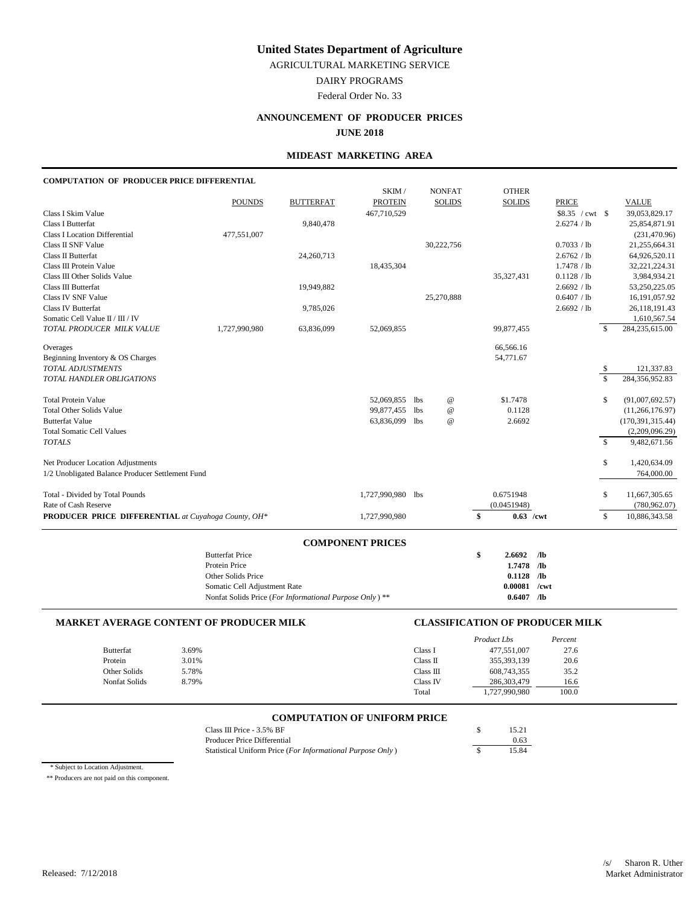AGRICULTURAL MARKETING SERVICE

DAIRY PROGRAMS

Federal Order No. 33

# **ANNOUNCEMENT OF PRODUCER PRICES**

**JUNE 2018**

### **MIDEAST MARKETING AREA**

# **COMPUTATION OF PRODUCER PRICE DIFFERENTIAL**

|                                                     |                                                         |                  | SKIM /                  |            | <b>NONFAT</b>             | <b>OTHER</b>  |                 |                    |                     |
|-----------------------------------------------------|---------------------------------------------------------|------------------|-------------------------|------------|---------------------------|---------------|-----------------|--------------------|---------------------|
|                                                     | <b>POUNDS</b>                                           | <b>BUTTERFAT</b> | <b>PROTEIN</b>          |            | <b>SOLIDS</b>             | <b>SOLIDS</b> | <b>PRICE</b>    |                    | <b>VALUE</b>        |
| Class I Skim Value                                  |                                                         |                  | 467,710,529             |            |                           |               | \$8.35 / cwt \$ |                    | 39,053,829.17       |
| Class I Butterfat                                   |                                                         | 9,840,478        |                         |            |                           |               | 2.6274 / lb     |                    | 25,854,871.91       |
| <b>Class I Location Differential</b>                | 477,551,007                                             |                  |                         |            |                           |               |                 |                    | (231, 470.96)       |
| Class II SNF Value                                  |                                                         |                  |                         |            | 30,222,756                |               | 0.7033 / lb     |                    | 21,255,664.31       |
| Class II Butterfat                                  |                                                         | 24,260,713       |                         |            |                           |               | 2.6762 / lb     |                    | 64,926,520.11       |
| Class III Protein Value                             |                                                         |                  | 18,435,304              |            |                           |               | 1.7478 / lb     |                    | 32, 221, 224. 31    |
| Class III Other Solids Value                        |                                                         |                  |                         |            |                           | 35,327,431    | 0.1128 / lb     |                    | 3,984,934.21        |
| Class III Butterfat                                 |                                                         | 19,949,882       |                         |            |                           |               | 2.6692 / lb     |                    | 53,250,225.05       |
| Class IV SNF Value                                  |                                                         |                  |                         |            | 25,270,888                |               | 0.6407 / lb     |                    | 16,191,057.92       |
| Class IV Butterfat                                  |                                                         | 9,785,026        |                         |            |                           |               | 2.6692 / lb     |                    | 26,118,191.43       |
| Somatic Cell Value II / III / IV                    |                                                         |                  |                         |            |                           |               |                 |                    | 1,610,567.54        |
| TOTAL PRODUCER MILK VALUE                           | 1,727,990,980                                           | 63,836,099       | 52,069,855              |            |                           | 99,877,455    |                 | \$                 | 284,235,615.00      |
| Overages                                            |                                                         |                  |                         |            |                           | 66,566.16     |                 |                    |                     |
| Beginning Inventory & OS Charges                    |                                                         |                  |                         |            |                           | 54,771.67     |                 |                    |                     |
| TOTAL ADJUSTMENTS                                   |                                                         |                  |                         |            |                           |               |                 | \$                 | 121,337.83          |
| TOTAL HANDLER OBLIGATIONS                           |                                                         |                  |                         |            |                           |               |                 | $\mathbf{\hat{S}}$ | 284,356,952.83      |
| <b>Total Protein Value</b>                          |                                                         |                  | 52,069,855              | lbs        | $^{\copyright}$           | \$1,7478      |                 | \$                 | (91,007,692.57)     |
| <b>Total Other Solids Value</b>                     |                                                         |                  | 99,877,455              | lbs        | $^\text{\textregistered}$ | 0.1128        |                 |                    | (11, 266, 176.97)   |
| <b>Butterfat Value</b>                              |                                                         |                  | 63,836,099              | 1bs        | $\omega$                  | 2.6692        |                 |                    | (170, 391, 315, 44) |
| <b>Total Somatic Cell Values</b>                    |                                                         |                  |                         |            |                           |               |                 |                    | (2,209,096.29)      |
| <b>TOTALS</b>                                       |                                                         |                  |                         |            |                           |               |                 | $\mathbb{S}$       | 9,482,671.56        |
| Net Producer Location Adjustments                   |                                                         |                  |                         |            |                           |               |                 | \$                 | 1,420,634.09        |
| 1/2 Unobligated Balance Producer Settlement Fund    |                                                         |                  |                         |            |                           |               |                 |                    | 764,000.00          |
| Total - Divided by Total Pounds                     |                                                         |                  | 1,727,990,980           | <b>lbs</b> |                           | 0.6751948     |                 | \$                 | 11,667,305.65       |
| Rate of Cash Reserve                                |                                                         |                  |                         |            |                           | (0.0451948)   |                 |                    | (780, 962.07)       |
| PRODUCER PRICE DIFFERENTIAL at Cuyahoga County, OH* |                                                         |                  | 1,727,990,980           |            |                           | $\mathbf{s}$  | $0.63$ /cwt     | \$                 | 10,886,343.58       |
|                                                     |                                                         |                  |                         |            |                           |               |                 |                    |                     |
|                                                     | <b>Butterfat Price</b>                                  |                  | <b>COMPONENT PRICES</b> |            |                           | \$<br>2.6692  | /1 <sub>b</sub> |                    |                     |
|                                                     | Protein Price                                           |                  |                         |            |                           | 1.7478 /lb    |                 |                    |                     |
|                                                     | Other Solids Price                                      |                  |                         |            |                           | 0.1128        | /1 <sub>b</sub> |                    |                     |
|                                                     | Somatic Cell Adjustment Rate                            |                  |                         |            |                           | 0.00081       | /cwt            |                    |                     |
|                                                     | Nonfat Solids Price (For Informational Purpose Only) ** |                  |                         |            |                           | 0.6407        | $\sqrt{a}$      |                    |                     |
|                                                     |                                                         |                  |                         |            |                           |               |                 |                    |                     |

#### **MARKET AVERAGE CONTENT OF PRODUCER MILK CLASSIFICATION OF PRODUCER MILK**

|                  |       |           | Product Lbs   | Percent |
|------------------|-------|-----------|---------------|---------|
| <b>Butterfat</b> | 3.69% | Class I   | 477,551,007   | 27.6    |
| Protein          | 3.01% | Class II  | 355,393,139   | 20.6    |
| Other Solids     | 5.78% | Class III | 608,743,355   | 35.2    |
| Nonfat Solids    | 8.79% | Class IV  | 286, 303, 479 | 16.6    |
|                  |       | Total     | 1,727,990,980 | 100.0   |

# **COMPUTATION OF UNIFORM PRICE**

| Class III Price $-3.5\%$ BF                                | 15.21 |
|------------------------------------------------------------|-------|
| Producer Price Differential                                | 0.63  |
| Statistical Uniform Price (For Informational Purpose Only) | 15.84 |

\* Subject to Location Adjustment.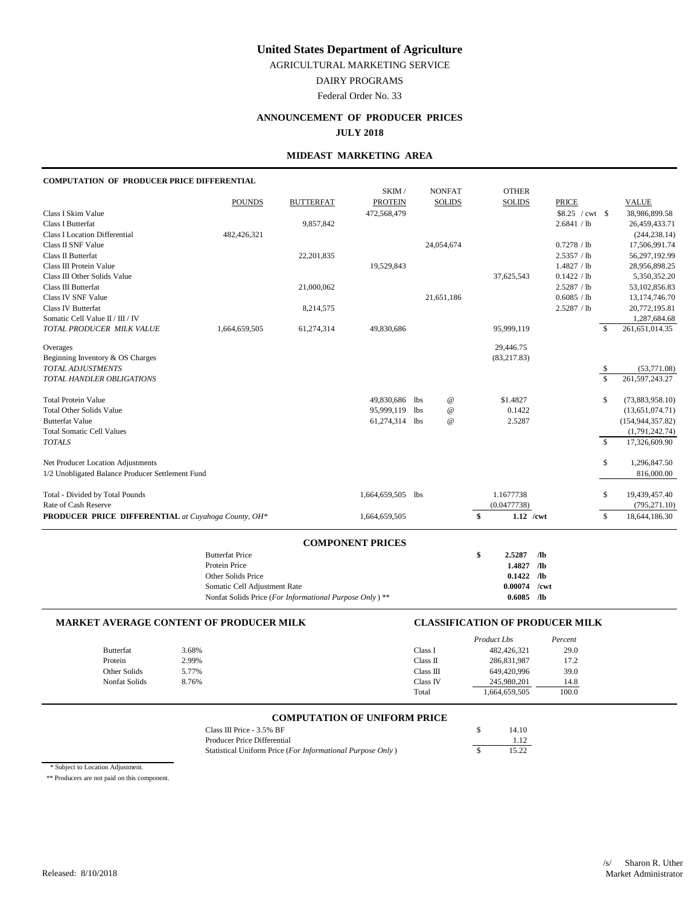AGRICULTURAL MARKETING SERVICE

DAIRY PROGRAMS

Federal Order No. 33

# **ANNOUNCEMENT OF PRODUCER PRICES**

#### **JULY 2018**

### **MIDEAST MARKETING AREA**

# **COMPUTATION OF PRODUCER PRICE DIFFERENTIAL**

|                                                     |                                                         |                  | SKIM /                  |     | <b>NONFAT</b>   |              | <b>OTHER</b>  |                 |              |              |                    |
|-----------------------------------------------------|---------------------------------------------------------|------------------|-------------------------|-----|-----------------|--------------|---------------|-----------------|--------------|--------------|--------------------|
|                                                     | <b>POUNDS</b>                                           | <b>BUTTERFAT</b> | <b>PROTEIN</b>          |     | <b>SOLIDS</b>   |              | <b>SOLIDS</b> |                 | <b>PRICE</b> |              | <b>VALUE</b>       |
| Class I Skim Value                                  |                                                         |                  | 472,568,479             |     |                 |              |               |                 |              |              | 38,986,899.58      |
| Class I Butterfat                                   |                                                         | 9,857,842        |                         |     |                 |              |               |                 | 2.6841 / lb  |              | 26,459,433.71      |
| <b>Class I Location Differential</b>                | 482,426,321                                             |                  |                         |     |                 |              |               |                 |              |              | (244, 238.14)      |
| Class II SNF Value                                  |                                                         |                  |                         |     | 24,054,674      |              |               |                 | 0.7278 / lb  |              | 17,506,991.74      |
| Class II Butterfat                                  |                                                         | 22,201,835       |                         |     |                 |              |               |                 | 2.5357 / lb  |              | 56,297,192.99      |
| Class III Protein Value                             |                                                         |                  | 19,529,843              |     |                 |              |               |                 | 1.4827 / lb  |              | 28,956,898.25      |
| Class III Other Solids Value                        |                                                         |                  |                         |     |                 |              | 37,625,543    |                 | 0.1422 / lb  |              | 5,350,352.20       |
| Class III Butterfat                                 |                                                         | 21,000,062       |                         |     |                 |              |               |                 | 2.5287 / lb  |              | 53,102,856.83      |
| Class IV SNF Value                                  |                                                         |                  |                         |     | 21,651,186      |              |               |                 | 0.6085 / lb  |              | 13,174,746.70      |
| Class IV Butterfat                                  |                                                         | 8,214,575        |                         |     |                 |              |               |                 | 2.5287 / lb  |              | 20,772,195.81      |
| Somatic Cell Value II / III / IV                    |                                                         |                  |                         |     |                 |              |               |                 |              |              | 1,287,684.68       |
| TOTAL PRODUCER MILK VALUE                           | 1,664,659,505                                           | 61,274,314       | 49,830,686              |     |                 |              | 95,999,119    |                 |              | \$           | 261, 651, 014.35   |
| Overages                                            |                                                         |                  |                         |     |                 |              | 29,446.75     |                 |              |              |                    |
| Beginning Inventory & OS Charges                    |                                                         |                  |                         |     |                 |              | (83, 217.83)  |                 |              |              |                    |
| TOTAL ADJUSTMENTS                                   |                                                         |                  |                         |     |                 |              |               |                 |              | \$           | (53,771.08)        |
| TOTAL HANDLER OBLIGATIONS                           |                                                         |                  |                         |     |                 |              |               |                 |              | \$           | 261, 597, 243. 27  |
| <b>Total Protein Value</b>                          |                                                         |                  | 49,830,686              | lbs | $^{\copyright}$ |              | \$1.4827      |                 |              | \$           | (73,883,958.10)    |
| <b>Total Other Solids Value</b>                     |                                                         |                  | 95,999,119              | lbs | $^{\copyright}$ |              | 0.1422        |                 |              |              | (13,651,074.71)    |
| <b>Butterfat Value</b>                              |                                                         |                  | 61,274,314 lbs          |     | $^{\omega}{}$   |              | 2.5287        |                 |              |              | (154, 944, 357.82) |
| <b>Total Somatic Cell Values</b>                    |                                                         |                  |                         |     |                 |              |               |                 |              |              | (1,791,242.74)     |
| <b>TOTALS</b>                                       |                                                         |                  |                         |     |                 |              |               |                 |              | $\mathbb{S}$ | 17,326,609.90      |
| Net Producer Location Adjustments                   |                                                         |                  |                         |     |                 |              |               |                 |              | \$           | 1,296,847.50       |
| 1/2 Unobligated Balance Producer Settlement Fund    |                                                         |                  |                         |     |                 |              |               |                 |              |              | 816,000.00         |
| Total - Divided by Total Pounds                     |                                                         |                  | 1,664,659,505 lbs       |     |                 |              | 1.1677738     |                 |              | \$           | 19,439,457.40      |
| Rate of Cash Reserve                                |                                                         |                  |                         |     |                 |              | (0.0477738)   |                 |              |              | (795, 271.10)      |
| PRODUCER PRICE DIFFERENTIAL at Cuyahoga County, OH* |                                                         |                  | 1,664,659,505           |     |                 | $\mathbf{s}$ | $1.12$ /cwt   |                 |              | \$           | 18,644,186.30      |
|                                                     |                                                         |                  |                         |     |                 |              |               |                 |              |              |                    |
|                                                     | <b>Butterfat Price</b>                                  |                  | <b>COMPONENT PRICES</b> |     |                 | \$           | 2.5287        | /1 <sub>b</sub> |              |              |                    |
|                                                     | Protein Price                                           |                  |                         |     |                 |              | 1.4827        | /1 <sub>b</sub> |              |              |                    |
|                                                     | Other Solids Price                                      |                  |                         |     |                 |              | 0.1422        | $\sqrt{a}$      |              |              |                    |
|                                                     | Somatic Cell Adjustment Rate                            |                  |                         |     |                 |              | 0.00074       | /cwt            |              |              |                    |
|                                                     | Nonfat Solids Price (For Informational Purpose Only) ** |                  |                         |     |                 |              | $0.6085$ /lb  |                 |              |              |                    |
|                                                     |                                                         |                  |                         |     |                 |              |               |                 |              |              |                    |

#### **MARKET AVERAGE CONTENT OF PRODUCER MILK CLASSIFICATION OF PRODUCER MILK**

|                  |       |           | Product Lbs  | Percent |
|------------------|-------|-----------|--------------|---------|
| <b>Butterfat</b> | 3.68% | Class I   | 482,426,321  | 29.0    |
| Protein          | 2.99% | Class II  | 286,831,987  | 17.2    |
| Other Solids     | 5.77% | Class III | 649,420,996  | 39.0    |
| Nonfat Solids    | 8.76% | Class IV  | 245,980,201  | 14.8    |
|                  |       | Total     | .664,659,505 | 100.0   |

# **COMPUTATION OF UNIFORM PRICE**

| Class III Price - $3.5\%$ BF                               | 14.10 |
|------------------------------------------------------------|-------|
| Producer Price Differential                                | 1.12  |
| Statistical Uniform Price (For Informational Purpose Only) | 15.22 |

\* Subject to Location Adjustment.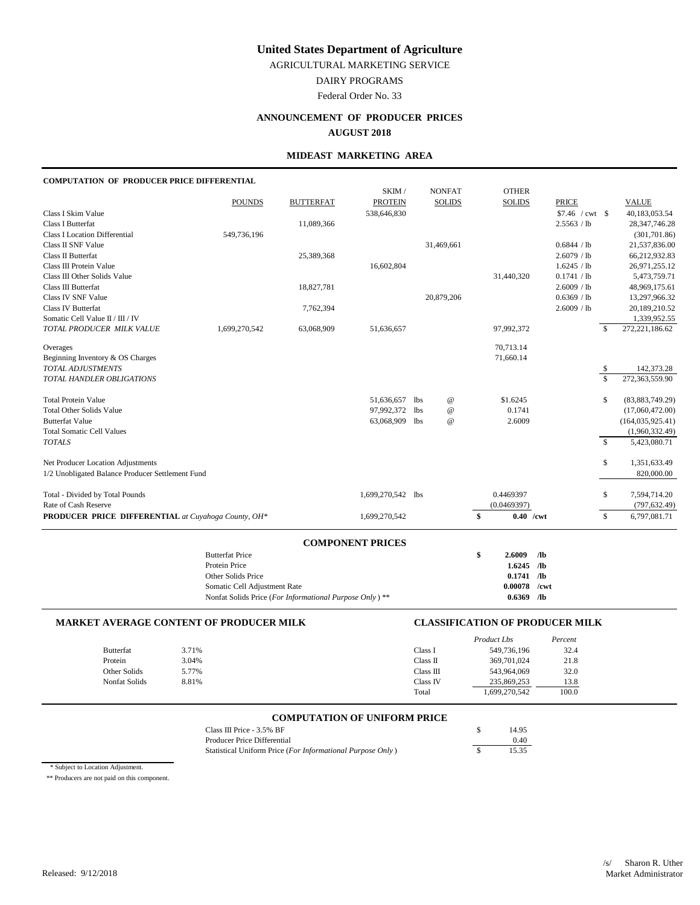AGRICULTURAL MARKETING SERVICE

DAIRY PROGRAMS

Federal Order No. 33

# **ANNOUNCEMENT OF PRODUCER PRICES**

#### **AUGUST 2018**

### **MIDEAST MARKETING AREA**

#### **COMPUTATION OF PRODUCER PRICE DIFFERENTIAL**

|                                                     |                                                         |                  | SKIM /                  |     | <b>NONFAT</b>   | <b>OTHER</b>  |                 |                   |                    |
|-----------------------------------------------------|---------------------------------------------------------|------------------|-------------------------|-----|-----------------|---------------|-----------------|-------------------|--------------------|
|                                                     | <b>POUNDS</b>                                           | <b>BUTTERFAT</b> | <b>PROTEIN</b>          |     | <b>SOLIDS</b>   | <b>SOLIDS</b> | <b>PRICE</b>    |                   | <b>VALUE</b>       |
| Class I Skim Value                                  |                                                         |                  | 538,646,830             |     |                 |               |                 | $$7.46$ / cwt \\$ | 40,183,053.54      |
| <b>Class I Butterfat</b>                            |                                                         | 11,089,366       |                         |     |                 |               | 2.5563 / lb     |                   | 28, 347, 746. 28   |
| <b>Class I Location Differential</b>                | 549,736,196                                             |                  |                         |     |                 |               |                 |                   | (301, 701.86)      |
| Class II SNF Value                                  |                                                         |                  |                         |     | 31,469,661      |               | 0.6844 / lb     |                   | 21,537,836.00      |
| Class II Butterfat                                  |                                                         | 25,389,368       |                         |     |                 |               | 2.6079 / lb     |                   | 66,212,932.83      |
| Class III Protein Value                             |                                                         |                  | 16,602,804              |     |                 |               | 1.6245 / lb     |                   | 26,971,255.12      |
| Class III Other Solids Value                        |                                                         |                  |                         |     |                 | 31,440,320    | 0.1741 / lb     |                   | 5,473,759.71       |
| Class III Butterfat                                 |                                                         | 18,827,781       |                         |     |                 |               | 2.6009 / lb     |                   | 48,969,175.61      |
| <b>Class IV SNF Value</b>                           |                                                         |                  |                         |     | 20,879,206      |               | 0.6369 / lb     |                   | 13,297,966.32      |
| Class IV Butterfat                                  |                                                         | 7,762,394        |                         |     |                 |               | 2.6009 / lb     |                   | 20,189,210.52      |
| Somatic Cell Value II / III / IV                    |                                                         |                  |                         |     |                 |               |                 |                   | 1,339,952.55       |
| TOTAL PRODUCER MILK VALUE                           | 1,699,270,542                                           | 63,068,909       | 51,636,657              |     |                 | 97,992,372    |                 | \$                | 272,221,186.62     |
| Overages                                            |                                                         |                  |                         |     |                 | 70,713.14     |                 |                   |                    |
| Beginning Inventory & OS Charges                    |                                                         |                  |                         |     |                 | 71,660.14     |                 |                   |                    |
| TOTAL ADJUSTMENTS                                   |                                                         |                  |                         |     |                 |               |                 | \$                | 142,373.28         |
| TOTAL HANDLER OBLIGATIONS                           |                                                         |                  |                         |     |                 |               |                 | \$                | 272,363,559.90     |
| <b>Total Protein Value</b>                          |                                                         |                  | 51,636,657              | lbs | $^{\copyright}$ | \$1.6245      |                 | \$                | (83,883,749.29)    |
| <b>Total Other Solids Value</b>                     |                                                         |                  | 97,992,372              | lbs | $^\copyright$   | 0.1741        |                 |                   | (17,060,472.00)    |
| <b>Butterfat Value</b>                              |                                                         |                  | 63,068,909              | lbs | $\omega$        | 2.6009        |                 |                   | (164, 035, 925.41) |
| <b>Total Somatic Cell Values</b>                    |                                                         |                  |                         |     |                 |               |                 |                   | (1,960,332.49)     |
| <b>TOTALS</b>                                       |                                                         |                  |                         |     |                 |               |                 | $\mathbb{S}$      | 5,423,080.71       |
| Net Producer Location Adjustments                   |                                                         |                  |                         |     |                 |               |                 | \$                | 1,351,633.49       |
| 1/2 Unobligated Balance Producer Settlement Fund    |                                                         |                  |                         |     |                 |               |                 |                   | 820,000.00         |
| Total - Divided by Total Pounds                     |                                                         |                  | 1,699,270,542 lbs       |     |                 | 0.4469397     |                 | \$                | 7,594,714.20       |
| Rate of Cash Reserve                                |                                                         |                  |                         |     |                 | (0.0469397)   |                 |                   | (797, 632.49)      |
| PRODUCER PRICE DIFFERENTIAL at Cuyahoga County, OH* |                                                         |                  | 1,699,270,542           |     |                 | \$            | $0.40$ /cwt     | \$                | 6,797,081.71       |
|                                                     |                                                         |                  |                         |     |                 |               |                 |                   |                    |
|                                                     | <b>Butterfat Price</b>                                  |                  | <b>COMPONENT PRICES</b> |     |                 | \$<br>2.6009  | /1 <sub>b</sub> |                   |                    |
|                                                     | Protein Price                                           |                  |                         |     |                 | 1.6245        | /1 <sub>b</sub> |                   |                    |
|                                                     | Other Solids Price                                      |                  |                         |     |                 |               | $0.1741$ /lb    |                   |                    |
|                                                     | Somatic Cell Adjustment Rate                            |                  |                         |     |                 | 0.00078       | /cwt            |                   |                    |
|                                                     | Nonfat Solids Price (For Informational Purpose Only) ** |                  |                         |     |                 | $0.6369$ /lb  |                 |                   |                    |
|                                                     |                                                         |                  |                         |     |                 |               |                 |                   |                    |

#### **MARKET AVERAGE CONTENT OF PRODUCER MILK CLASSIFICATION OF PRODUCER MILK**

|       |           | Product Lbs   | Percent |
|-------|-----------|---------------|---------|
| 3.71% | Class I   | 549,736,196   | 32.4    |
| 3.04% | Class II  | 369,701,024   | 21.8    |
| 5.77% | Class III | 543,964,069   | 32.0    |
| 8.81% | Class IV  | 235,869,253   | 13.8    |
|       | Total     | 1,699,270,542 | 100.0   |
|       |           |               |         |

# **COMPUTATION OF UNIFORM PRICE**

| Class III Price $-3.5\%$ BF                                | 14.95 |
|------------------------------------------------------------|-------|
| Producer Price Differential                                | 0.40  |
| Statistical Uniform Price (For Informational Purpose Only) | 15.35 |

\* Subject to Location Adjustment.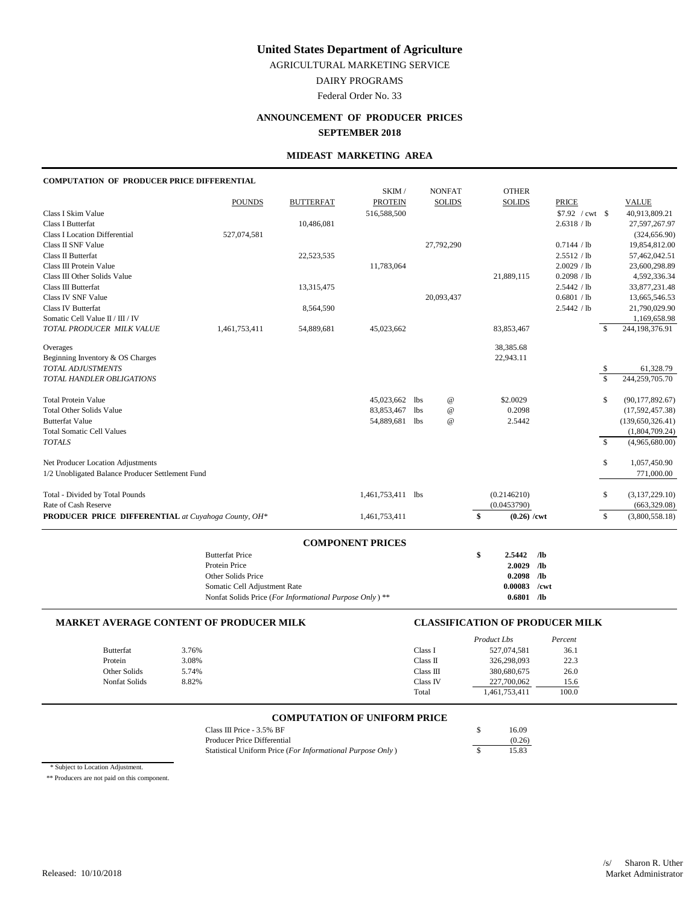AGRICULTURAL MARKETING SERVICE

DAIRY PROGRAMS

# Federal Order No. 33

# **ANNOUNCEMENT OF PRODUCER PRICES SEPTEMBER 2018**

#### **MIDEAST MARKETING AREA**

### **COMPUTATION OF PRODUCER PRICE DIFFERENTIAL**

|                                                            |               |                  | SKIM/                   |            | <b>NONFAT</b>             | <b>OTHER</b>        |                  |                    |                   |
|------------------------------------------------------------|---------------|------------------|-------------------------|------------|---------------------------|---------------------|------------------|--------------------|-------------------|
|                                                            | <b>POUNDS</b> | <b>BUTTERFAT</b> | <b>PROTEIN</b>          |            | <b>SOLIDS</b>             | <b>SOLIDS</b>       | <b>PRICE</b>     |                    | <b>VALUE</b>      |
| Class I Skim Value                                         |               |                  | 516,588,500             |            |                           |                     | $$7.92$ / cwt \$ |                    | 40,913,809.21     |
| Class I Butterfat                                          |               | 10,486,081       |                         |            |                           |                     | 2.6318 / lb      |                    | 27,597,267.97     |
| <b>Class I Location Differential</b>                       | 527,074,581   |                  |                         |            |                           |                     |                  |                    | (324, 656.90)     |
| Class II SNF Value                                         |               |                  |                         |            | 27,792,290                |                     | 0.7144 / lb      |                    | 19,854,812.00     |
| Class II Butterfat                                         |               | 22,523,535       |                         |            |                           |                     | 2.5512 / lb      |                    | 57,462,042.51     |
| Class III Protein Value                                    |               |                  | 11,783,064              |            |                           |                     | 2.0029 / lb      |                    | 23,600,298.89     |
| Class III Other Solids Value                               |               |                  |                         |            |                           | 21,889,115          | 0.2098 / lb      |                    | 4,592,336.34      |
| Class III Butterfat                                        |               | 13,315,475       |                         |            |                           |                     | 2.5442 / lb      |                    | 33,877,231.48     |
| Class IV SNF Value                                         |               |                  |                         |            | 20,093,437                |                     | 0.6801 / lb      |                    | 13,665,546.53     |
| <b>Class IV Butterfat</b>                                  |               | 8,564,590        |                         |            |                           |                     | 2.5442 / lb      |                    | 21,790,029.90     |
| Somatic Cell Value II / III / IV                           |               |                  |                         |            |                           |                     |                  |                    | 1,169,658.98      |
| TOTAL PRODUCER MILK VALUE                                  | 1,461,753,411 | 54,889,681       | 45,023,662              |            |                           | 83,853,467          |                  | \$                 | 244,198,376.91    |
| Overages                                                   |               |                  |                         |            |                           | 38,385.68           |                  |                    |                   |
| Beginning Inventory & OS Charges                           |               |                  |                         |            |                           | 22,943.11           |                  |                    |                   |
| TOTAL ADJUSTMENTS                                          |               |                  |                         |            |                           |                     |                  | \$                 | 61,328.79         |
| TOTAL HANDLER OBLIGATIONS                                  |               |                  |                         |            |                           |                     |                  | $\mathbf{\hat{S}}$ | 244,259,705.70    |
| <b>Total Protein Value</b>                                 |               |                  | 45,023,662              | <b>lbs</b> | $^{\copyright}$           | \$2.0029            |                  | \$                 | (90, 177, 892.67) |
| <b>Total Other Solids Value</b>                            |               |                  | 83, 853, 467            | <b>lbs</b> | $^\text{\textregistered}$ | 0.2098              |                  |                    | (17,592,457.38)   |
| <b>Butterfat Value</b>                                     |               |                  | 54,889,681              | <b>lbs</b> | $^\text{\textregistered}$ | 2.5442              |                  |                    | (139,650,326.41)  |
| <b>Total Somatic Cell Values</b>                           |               |                  |                         |            |                           |                     |                  |                    | (1,804,709.24)    |
| <b>TOTALS</b>                                              |               |                  |                         |            |                           |                     |                  | s.                 | (4,965,680.00)    |
| Net Producer Location Adjustments                          |               |                  |                         |            |                           |                     |                  | \$                 | 1,057,450.90      |
| 1/2 Unobligated Balance Producer Settlement Fund           |               |                  |                         |            |                           |                     |                  |                    | 771,000.00        |
| Total - Divided by Total Pounds                            |               |                  | 1,461,753,411 lbs       |            |                           | (0.2146210)         |                  | \$                 | (3,137,229.10)    |
| Rate of Cash Reserve                                       |               |                  |                         |            |                           | (0.0453790)         |                  |                    | (663, 329.08)     |
| <b>PRODUCER PRICE DIFFERENTIAL</b> at Cuyahoga County, OH* |               |                  | 1,461,753,411           |            |                           | \$<br>$(0.26)$ /cwt |                  | \$                 | (3,800,558.18)    |
|                                                            |               |                  | <b>COMPONENT PRICES</b> |            |                           |                     |                  |                    |                   |

| <b>Butterfat Price</b>                                  | S | 2.5442         | - /lb      |
|---------------------------------------------------------|---|----------------|------------|
| Protein Price                                           |   | $2.0029$ /lb   |            |
| Other Solids Price                                      |   | $0.2098$ /lb   |            |
| Somatic Cell Adjustment Rate                            |   | $0.00083$ /cwt |            |
| Nonfat Solids Price (For Informational Purpose Only) ** |   | 0.6801         | $\sqrt{2}$ |

|       |                                                | Product Lbs   | Percent                                |
|-------|------------------------------------------------|---------------|----------------------------------------|
| 3.76% | Class I                                        | 527,074,581   | 36.1                                   |
| 3.08% | Class II                                       | 326.298.093   | 22.3                                   |
| 5.74% | Class III                                      | 380,680,675   | 26.0                                   |
| 8.82% | Class IV                                       | 227,700,062   | 15.6                                   |
|       | Total                                          | 1,461,753,411 | 100.0                                  |
|       | <b>MARKET AVERAGE CONTENT OF PRODUCER MILK</b> |               | <b>CLASSIFICATION OF PRODUCER MILK</b> |

#### **COMPUTATION OF UNIFORM PRICE**

| Class III Price - $3.5\%$ BF                               | 16.09  |
|------------------------------------------------------------|--------|
| Producer Price Differential                                | (0.26) |
| Statistical Uniform Price (For Informational Purpose Only) | 15.83  |

\* Subject to Location Adjustment.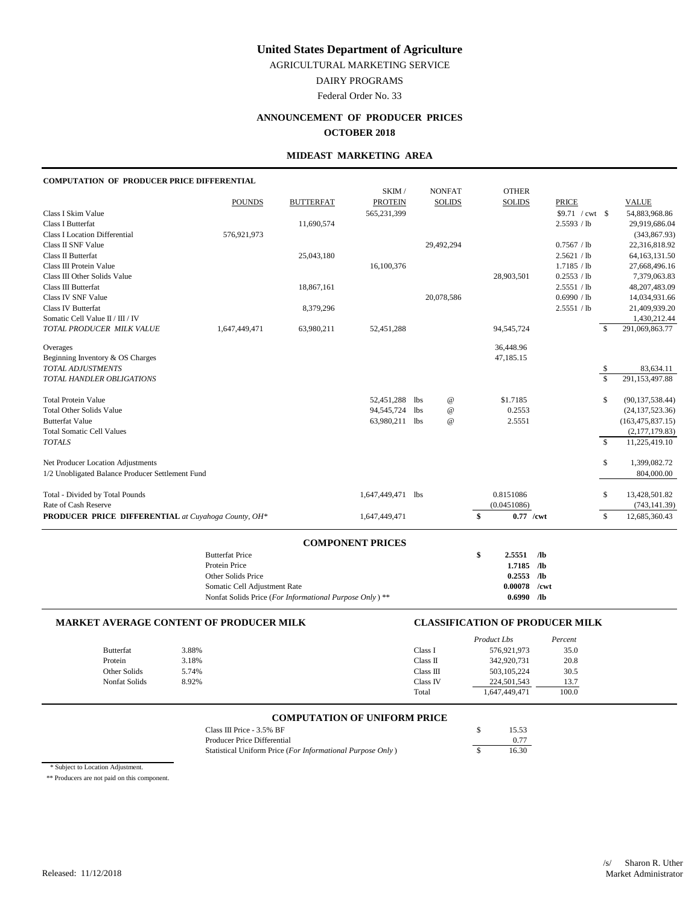AGRICULTURAL MARKETING SERVICE

DAIRY PROGRAMS

Federal Order No. 33

# **ANNOUNCEMENT OF PRODUCER PRICES**

#### **OCTOBER 2018**

### **MIDEAST MARKETING AREA**

# **COMPUTATION OF PRODUCER PRICE DIFFERENTIAL**

|                                                     |                                                        |                  | SKIM /                  |     | <b>NONFAT</b>   | <b>OTHER</b>      |                  |                         |                    |
|-----------------------------------------------------|--------------------------------------------------------|------------------|-------------------------|-----|-----------------|-------------------|------------------|-------------------------|--------------------|
|                                                     | <b>POUNDS</b>                                          | <b>BUTTERFAT</b> | <b>PROTEIN</b>          |     | <b>SOLIDS</b>   | <b>SOLIDS</b>     | <b>PRICE</b>     |                         | <b>VALUE</b>       |
| Class I Skim Value                                  |                                                        |                  | 565,231,399             |     |                 |                   | $$9.71$ / cwt \$ |                         | 54,883,968.86      |
| Class I Butterfat                                   |                                                        | 11,690,574       |                         |     |                 |                   | 2.5593 / lb      |                         | 29,919,686.04      |
| <b>Class I Location Differential</b>                | 576,921,973                                            |                  |                         |     |                 |                   |                  |                         | (343, 867.93)      |
| Class II SNF Value                                  |                                                        |                  |                         |     | 29,492,294      |                   | 0.7567 / lb      |                         | 22,316,818.92      |
| <b>Class II Butterfat</b>                           |                                                        | 25,043,180       |                         |     |                 |                   | 2.5621 / lb      |                         | 64, 163, 131.50    |
| Class III Protein Value                             |                                                        |                  | 16,100,376              |     |                 |                   | 1.7185 / lb      |                         | 27,668,496.16      |
| Class III Other Solids Value                        |                                                        |                  |                         |     |                 | 28,903,501        | 0.2553 / lb      |                         | 7,379,063.83       |
| Class III Butterfat                                 |                                                        | 18,867,161       |                         |     |                 |                   | 2.5551 / lb      |                         | 48,207,483.09      |
| Class IV SNF Value                                  |                                                        |                  |                         |     | 20,078,586      |                   | 0.6990 / lb      |                         | 14,034,931.66      |
| <b>Class IV Butterfat</b>                           |                                                        | 8,379,296        |                         |     |                 |                   | 2.5551 / lb      |                         | 21,409,939.20      |
| Somatic Cell Value II / III / IV                    |                                                        |                  |                         |     |                 |                   |                  |                         | 1,430,212.44       |
| TOTAL PRODUCER MILK VALUE                           | 1,647,449,471                                          | 63,980,211       | 52,451,288              |     |                 | 94,545,724        |                  | $\mathcal{S}$           | 291,069,863.77     |
| Overages                                            |                                                        |                  |                         |     |                 | 36,448.96         |                  |                         |                    |
| Beginning Inventory & OS Charges                    |                                                        |                  |                         |     |                 | 47,185.15         |                  |                         |                    |
| TOTAL ADJUSTMENTS                                   |                                                        |                  |                         |     |                 |                   |                  | -S                      | 83,634.11          |
| TOTAL HANDLER OBLIGATIONS                           |                                                        |                  |                         |     |                 |                   |                  | $\overline{\mathbf{s}}$ | 291,153,497.88     |
| <b>Total Protein Value</b>                          |                                                        |                  | 52,451,288              | 1bs | $^{\copyright}$ | \$1.7185          |                  | \$                      | (90, 137, 538.44)  |
| <b>Total Other Solids Value</b>                     |                                                        |                  | 94,545,724 lbs          |     | $^{\copyright}$ | 0.2553            |                  |                         | (24, 137, 523.36)  |
| <b>Butterfat Value</b>                              |                                                        |                  | 63,980,211 lbs          |     | @               | 2.5551            |                  |                         | (163, 475, 837.15) |
| <b>Total Somatic Cell Values</b>                    |                                                        |                  |                         |     |                 |                   |                  |                         | (2,177,179.83)     |
| <b>TOTALS</b>                                       |                                                        |                  |                         |     |                 |                   |                  | $\mathbf{\hat{S}}$      | 11,225,419.10      |
| Net Producer Location Adjustments                   |                                                        |                  |                         |     |                 |                   |                  | \$                      | 1,399,082.72       |
| 1/2 Unobligated Balance Producer Settlement Fund    |                                                        |                  |                         |     |                 |                   |                  |                         | 804,000.00         |
| Total - Divided by Total Pounds                     |                                                        |                  | 1,647,449,471 lbs       |     |                 | 0.8151086         |                  | \$                      | 13,428,501.82      |
| Rate of Cash Reserve                                |                                                        |                  |                         |     |                 | (0.0451086)       |                  |                         | (743, 141.39)      |
| PRODUCER PRICE DIFFERENTIAL at Cuyahoga County, OH* |                                                        |                  | 1,647,449,471           |     |                 | \$<br>$0.77$ /cwt |                  | \$                      | 12,685,360.43      |
|                                                     |                                                        |                  |                         |     |                 |                   |                  |                         |                    |
|                                                     | <b>Butterfat Price</b>                                 |                  | <b>COMPONENT PRICES</b> |     |                 | \$<br>2.5551      | /1 <sub>b</sub>  |                         |                    |
|                                                     | Protein Price                                          |                  |                         |     |                 | 1.7185 /lb        |                  |                         |                    |
|                                                     | Other Solids Price                                     |                  |                         |     |                 | 0.2553            | $\sqrt{a}$       |                         |                    |
|                                                     | Somatic Cell Adjustment Rate                           |                  |                         |     |                 | 0.00078           | /cwt             |                         |                    |
|                                                     | Nonfat Solids Price (For Informational Purpose Only)** |                  |                         |     |                 | $0.6990$ /lb      |                  |                         |                    |
|                                                     |                                                        |                  |                         |     |                 |                   |                  |                         |                    |

#### **MARKET AVERAGE CONTENT OF PRODUCER MILK CLASSIFICATION OF PRODUCER MILK**

|                  |       |           | Product Lbs   | Percent |
|------------------|-------|-----------|---------------|---------|
| <b>Butterfat</b> | 3.88% | Class I   | 576,921,973   | 35.0    |
| Protein          | 3.18% | Class II  | 342,920,731   | 20.8    |
| Other Solids     | 5.74% | Class III | 503, 105, 224 | 30.5    |
| Nonfat Solids    | 8.92% | Class IV  | 224,501,543   | 13.7    |
|                  |       | Total     | .647,449,471  | 100.0   |

# **COMPUTATION OF UNIFORM PRICE**

| Class III Price $-3.5\%$ BF                                | 15.53 |
|------------------------------------------------------------|-------|
| Producer Price Differential                                | 0.77  |
| Statistical Uniform Price (For Informational Purpose Only) | 16.30 |

\* Subject to Location Adjustment.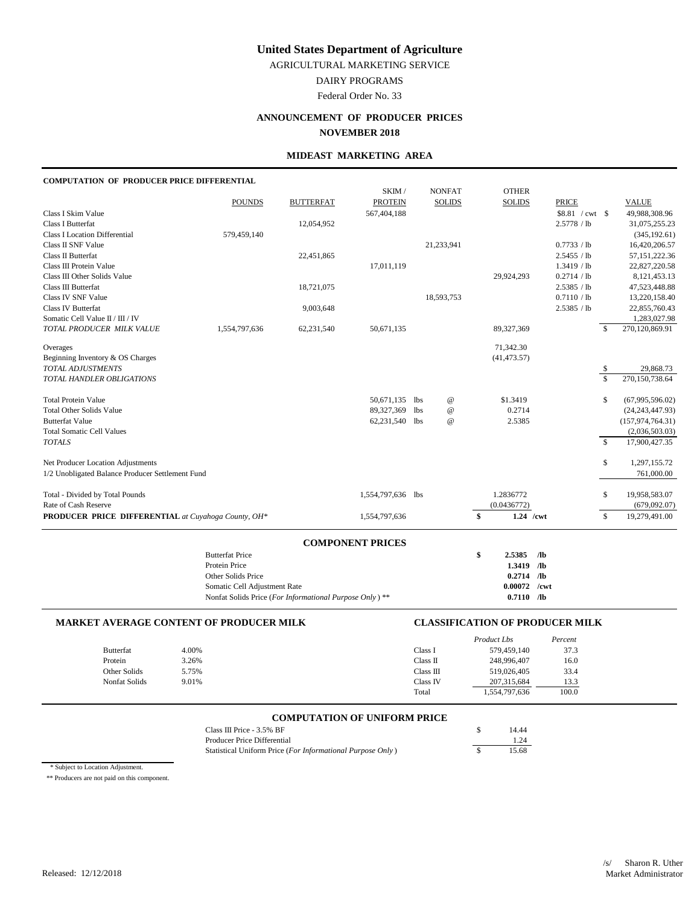AGRICULTURAL MARKETING SERVICE

DAIRY PROGRAMS

Federal Order No. 33

# **ANNOUNCEMENT OF PRODUCER PRICES**

# **NOVEMBER 2018**

### **MIDEAST MARKETING AREA**

#### **COMPUTATION OF PRODUCER PRICE DIFFERENTIAL**

|                                                     |                                                        |                  | SKIM /                  |            | <b>NONFAT</b>             | <b>OTHER</b>      |                 |               |                    |
|-----------------------------------------------------|--------------------------------------------------------|------------------|-------------------------|------------|---------------------------|-------------------|-----------------|---------------|--------------------|
|                                                     | <b>POUNDS</b>                                          | <b>BUTTERFAT</b> | <b>PROTEIN</b>          |            | <b>SOLIDS</b>             | <b>SOLIDS</b>     | <b>PRICE</b>    |               | <b>VALUE</b>       |
| Class I Skim Value                                  |                                                        |                  | 567,404,188             |            |                           |                   | \$8.81 / cwt \$ |               | 49,988,308.96      |
| <b>Class I Butterfat</b>                            |                                                        | 12,054,952       |                         |            |                           |                   | 2.5778 / lb     |               | 31,075,255.23      |
| <b>Class I Location Differential</b>                | 579,459,140                                            |                  |                         |            |                           |                   |                 |               | (345, 192.61)      |
| <b>Class II SNF Value</b>                           |                                                        |                  |                         |            | 21,233,941                |                   | 0.7733 / lb     |               | 16,420,206.57      |
| Class II Butterfat                                  |                                                        | 22,451,865       |                         |            |                           |                   | 2.5455 / lb     |               | 57,151,222.36      |
| Class III Protein Value                             |                                                        |                  | 17,011,119              |            |                           |                   | 1.3419 / lb     |               | 22,827,220.58      |
| Class III Other Solids Value                        |                                                        |                  |                         |            |                           | 29,924,293        | 0.2714 / lb     |               | 8,121,453.13       |
| Class III Butterfat                                 |                                                        | 18,721,075       |                         |            |                           |                   | 2.5385 / lb     |               | 47,523,448.88      |
| Class IV SNF Value                                  |                                                        |                  |                         |            | 18,593,753                |                   | 0.7110 / lb     |               | 13,220,158.40      |
| <b>Class IV Butterfat</b>                           |                                                        | 9,003,648        |                         |            |                           |                   | 2.5385 / lb     |               | 22,855,760.43      |
| Somatic Cell Value II / III / IV                    |                                                        |                  |                         |            |                           |                   |                 |               | 1,283,027.98       |
| TOTAL PRODUCER MILK VALUE                           | 1,554,797,636                                          | 62,231,540       | 50,671,135              |            |                           | 89,327,369        |                 | $\mathcal{S}$ | 270,120,869.91     |
| Overages                                            |                                                        |                  |                         |            |                           | 71,342.30         |                 |               |                    |
| Beginning Inventory & OS Charges                    |                                                        |                  |                         |            |                           | (41, 473.57)      |                 |               |                    |
| TOTAL ADJUSTMENTS                                   |                                                        |                  |                         |            |                           |                   |                 | -S            | 29,868.73          |
| TOTAL HANDLER OBLIGATIONS                           |                                                        |                  |                         |            |                           |                   |                 | $\mathbb{S}$  | 270,150,738.64     |
| <b>Total Protein Value</b>                          |                                                        |                  | 50,671,135              | lbs        | $^\text{\textregistered}$ | \$1.3419          |                 | \$            | (67,995,596.02)    |
| <b>Total Other Solids Value</b>                     |                                                        |                  | 89,327,369              | <b>lbs</b> | $^\text{\textregistered}$ | 0.2714            |                 |               | (24, 243, 447.93)  |
| <b>Butterfat Value</b>                              |                                                        |                  | 62,231,540 lbs          |            | @                         | 2.5385            |                 |               | (157, 974, 764.31) |
| <b>Total Somatic Cell Values</b>                    |                                                        |                  |                         |            |                           |                   |                 |               | (2,036,503.03)     |
| <b>TOTALS</b>                                       |                                                        |                  |                         |            |                           |                   |                 | $\mathcal{S}$ | 17,900,427.35      |
| Net Producer Location Adjustments                   |                                                        |                  |                         |            |                           |                   |                 | \$            | 1,297,155.72       |
| 1/2 Unobligated Balance Producer Settlement Fund    |                                                        |                  |                         |            |                           |                   |                 |               | 761,000.00         |
| Total - Divided by Total Pounds                     |                                                        |                  | 1,554,797,636 lbs       |            |                           | 1.2836772         |                 | \$            | 19,958,583.07      |
| Rate of Cash Reserve                                |                                                        |                  |                         |            |                           | (0.0436772)       |                 |               | (679,092.07)       |
| PRODUCER PRICE DIFFERENTIAL at Cuyahoga County, OH* |                                                        |                  | 1,554,797,636           |            |                           | \$<br>$1.24$ /cwt |                 | \$            | 19,279,491.00      |
|                                                     |                                                        |                  |                         |            |                           |                   |                 |               |                    |
|                                                     | <b>Butterfat Price</b>                                 |                  | <b>COMPONENT PRICES</b> |            |                           | \$<br>2.5385      | $\sqrt{a}$      |               |                    |
|                                                     | Protein Price                                          |                  |                         |            |                           | 1.3419            | $\sqrt{a}$      |               |                    |
|                                                     | Other Solids Price                                     |                  |                         |            |                           | 0.2714            | $\sqrt{a}$      |               |                    |
|                                                     | Somatic Cell Adjustment Rate                           |                  |                         |            |                           | 0.00072           | /cwt            |               |                    |
|                                                     | Nonfat Solids Price (For Informational Purpose Only)** |                  |                         |            |                           | $0.7110$ /lb      |                 |               |                    |
|                                                     |                                                        |                  |                         |            |                           |                   |                 |               |                    |

#### **MARKET AVERAGE CONTENT OF PRODUCER MILK CLASSIFICATION OF PRODUCER MILK**

|               |       |           | Product Lbs   | Percent |
|---------------|-------|-----------|---------------|---------|
| Butterfat     | 4.00% | Class I   | 579.459.140   | 37.3    |
| Protein       | 3.26% | Class II  | 248,996,407   | 16.0    |
| Other Solids  | 5.75% | Class III | 519,026,405   | 33.4    |
| Nonfat Solids | 9.01% | Class IV  | 207, 315, 684 | 13.3    |
|               |       | Total     | 1,554,797,636 | 100.0   |

# **COMPUTATION OF UNIFORM PRICE**

| Class III Price $-3.5\%$ BF                                | 14.44 |
|------------------------------------------------------------|-------|
| Producer Price Differential                                | 1.24  |
| Statistical Uniform Price (For Informational Purpose Only) | 15.68 |

\* Subject to Location Adjustment.